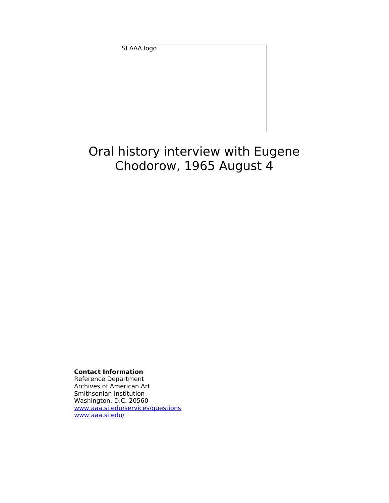SI AAA logo

# Oral history interview with Eugene Chodorow, 1965 August 4

**Contact Information**

Reference Department Archives of American Art Smithsonian Institution Washington. D.C. 20560 [www.aaa.si.edu/services/questions](http://www.aaa.si.edu/services/questions) [www.aaa.si.edu/](http://www.aaa.si.edu/)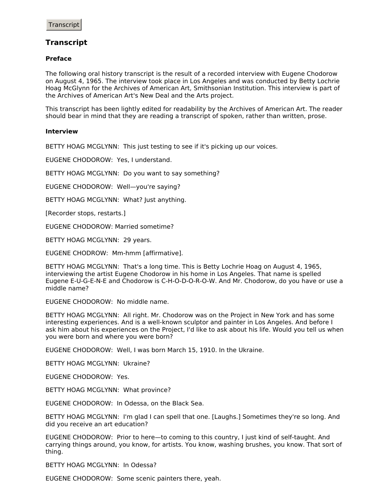## **Transcript**

#### **Preface**

The following oral history transcript is the result of a recorded interview with Eugene Chodorow on August 4, 1965. The interview took place in Los Angeles and was conducted by Betty Lochrie Hoag McGlynn for the Archives of American Art, Smithsonian Institution. This interview is part of the Archives of American Art's New Deal and the Arts project.

This transcript has been lightly edited for readability by the Archives of American Art. The reader should bear in mind that they are reading a transcript of spoken, rather than written, prose.

#### **Interview**

BETTY HOAG MCGLYNN: This just testing to see if it's picking up our voices.

EUGENE CHODOROW: Yes, I understand.

BETTY HOAG MCGLYNN: Do you want to say something?

EUGENE CHODOROW: Well—you're saying?

BETTY HOAG MCGLYNN: What? Just anything.

[Recorder stops, restarts.]

EUGENE CHODOROW: Married sometime?

BETTY HOAG MCGLYNN: 29 years.

EUGENE CHODROW: Mm-hmm [affirmative].

BETTY HOAG MCGLYNN: That's a long time. This is Betty Lochrie Hoag on August 4, 1965, interviewing the artist Eugene Chodorow in his home in Los Angeles. That name is spelled Eugene E-U-G-E-N-E and Chodorow is C-H-O-D-O-R-O-W. And Mr. Chodorow, do you have or use a middle name?

EUGENE CHODOROW: No middle name.

BETTY HOAG MCGLYNN: All right. Mr. Chodorow was on the Project in New York and has some interesting experiences. And is a well-known sculptor and painter in Los Angeles. And before I ask him about his experiences on the Project, I'd like to ask about his life. Would you tell us when you were born and where you were born?

EUGENE CHODOROW: Well, I was born March 15, 1910. In the Ukraine.

BETTY HOAG MCGLYNN: Ukraine?

EUGENE CHODOROW: Yes.

BETTY HOAG MCGLYNN: What province?

EUGENE CHODOROW: In Odessa, on the Black Sea.

BETTY HOAG MCGLYNN: I'm glad I can spell that one. [Laughs.] Sometimes they're so long. And did you receive an art education?

EUGENE CHODOROW: Prior to here—to coming to this country, I just kind of self-taught. And carrying things around, you know, for artists. You know, washing brushes, you know. That sort of thing.

BETTY HOAG MCGLYNN: In Odessa?

EUGENE CHODOROW: Some scenic painters there, yeah.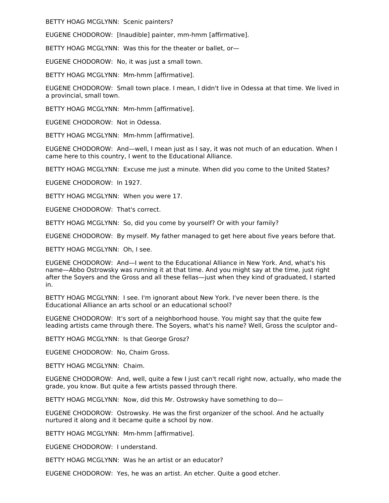BETTY HOAG MCGLYNN: Scenic painters?

EUGENE CHODOROW: [Inaudible] painter, mm-hmm [affirmative].

BETTY HOAG MCGLYNN: Was this for the theater or ballet, or—

EUGENE CHODOROW: No, it was just a small town.

BETTY HOAG MCGLYNN: Mm-hmm [affirmative].

EUGENE CHODOROW: Small town place. I mean, I didn't live in Odessa at that time. We lived in a provincial, small town.

BETTY HOAG MCGLYNN: Mm-hmm [affirmative].

EUGENE CHODOROW: Not in Odessa.

BETTY HOAG MCGLYNN: Mm-hmm [affirmative].

EUGENE CHODOROW: And—well, I mean just as I say, it was not much of an education. When I came here to this country, I went to the Educational Alliance.

BETTY HOAG MCGLYNN: Excuse me just a minute. When did you come to the United States?

EUGENE CHODOROW: In 1927.

BETTY HOAG MCGLYNN: When you were 17.

EUGENE CHODOROW: That's correct.

BETTY HOAG MCGLYNN: So, did you come by yourself? Or with your family?

EUGENE CHODOROW: By myself. My father managed to get here about five years before that.

BETTY HOAG MCGLYNN: Oh, I see.

EUGENE CHODOROW: And—I went to the Educational Alliance in New York. And, what's his name—Abbo Ostrowsky was running it at that time. And you might say at the time, just right after the Soyers and the Gross and all these fellas—just when they kind of graduated, I started in.

BETTY HOAG MCGLYNN: I see. I'm ignorant about New York. I've never been there. Is the Educational Alliance an arts school or an educational school?

EUGENE CHODOROW: It's sort of a neighborhood house. You might say that the quite few leading artists came through there. The Soyers, what's his name? Well, Gross the sculptor and–

BETTY HOAG MCGLYNN: Is that George Grosz?

EUGENE CHODOROW: No, Chaim Gross.

BETTY HOAG MCGLYNN: Chaim.

EUGENE CHODOROW: And, well, quite a few I just can't recall right now, actually, who made the grade, you know. But quite a few artists passed through there.

BETTY HOAG MCGLYNN: Now, did this Mr. Ostrowsky have something to do—

EUGENE CHODOROW: Ostrowsky. He was the first organizer of the school. And he actually nurtured it along and it became quite a school by now.

BETTY HOAG MCGLYNN: Mm-hmm [affirmative].

EUGENE CHODOROW: I understand.

BETTY HOAG MCGLYNN: Was he an artist or an educator?

EUGENE CHODOROW: Yes, he was an artist. An etcher. Quite a good etcher.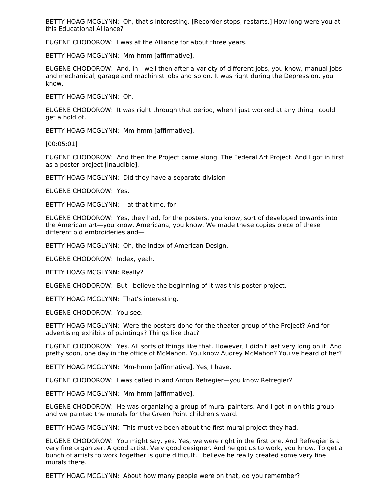BETTY HOAG MCGLYNN: Oh, that's interesting. [Recorder stops, restarts.] How long were you at this Educational Alliance?

EUGENE CHODOROW: I was at the Alliance for about three years.

BETTY HOAG MCGLYNN: Mm-hmm [affirmative].

EUGENE CHODOROW: And, in—well then after a variety of different jobs, you know, manual jobs and mechanical, garage and machinist jobs and so on. It was right during the Depression, you know.

BETTY HOAG MCGLYNN: Oh.

EUGENE CHODOROW: It was right through that period, when I just worked at any thing I could get a hold of.

BETTY HOAG MCGLYNN: Mm-hmm [affirmative].

[00:05:01]

EUGENE CHODOROW: And then the Project came along. The Federal Art Project. And I got in first as a poster project [inaudible].

BETTY HOAG MCGLYNN: Did they have a separate division—

EUGENE CHODOROW: Yes.

BETTY HOAG MCGLYNN: —at that time, for—

EUGENE CHODOROW: Yes, they had, for the posters, you know, sort of developed towards into the American art—you know, Americana, you know. We made these copies piece of these different old embroideries and—

BETTY HOAG MCGLYNN: Oh, the Index of American Design.

EUGENE CHODOROW: Index, yeah.

BETTY HOAG MCGLYNN: Really?

EUGENE CHODOROW: But I believe the beginning of it was this poster project.

BETTY HOAG MCGLYNN: That's interesting.

EUGENE CHODOROW: You see.

BETTY HOAG MCGLYNN: Were the posters done for the theater group of the Project? And for advertising exhibits of paintings? Things like that?

EUGENE CHODOROW: Yes. All sorts of things like that. However, I didn't last very long on it. And pretty soon, one day in the office of McMahon. You know Audrey McMahon? You've heard of her?

BETTY HOAG MCGLYNN: Mm-hmm [affirmative]. Yes, I have.

EUGENE CHODOROW: I was called in and Anton Refregier—you know Refregier?

BETTY HOAG MCGLYNN: Mm-hmm [affirmative].

EUGENE CHODOROW: He was organizing a group of mural painters. And I got in on this group and we painted the murals for the Green Point children's ward.

BETTY HOAG MCGLYNN: This must've been about the first mural project they had.

EUGENE CHODOROW: You might say, yes. Yes, we were right in the first one. And Refregier is a very fine organizer. A good artist. Very good designer. And he got us to work, you know. To get a bunch of artists to work together is quite difficult. I believe he really created some very fine murals there.

BETTY HOAG MCGLYNN: About how many people were on that, do you remember?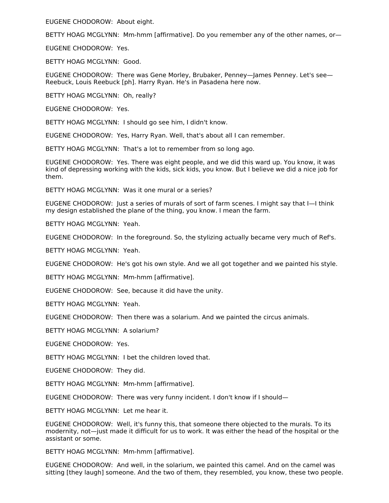EUGENE CHODOROW: About eight.

BETTY HOAG MCGLYNN: Mm-hmm [affirmative]. Do you remember any of the other names, or—

EUGENE CHODOROW: Yes.

BETTY HOAG MCGLYNN: Good.

EUGENE CHODOROW: There was Gene Morley, Brubaker, Penney—James Penney. Let's see— Reebuck, Louis Reebuck [ph]. Harry Ryan. He's in Pasadena here now.

BETTY HOAG MCGLYNN: Oh, really?

EUGENE CHODOROW: Yes.

BETTY HOAG MCGLYNN: I should go see him, I didn't know.

EUGENE CHODOROW: Yes, Harry Ryan. Well, that's about all I can remember.

BETTY HOAG MCGLYNN: That's a lot to remember from so long ago.

EUGENE CHODOROW: Yes. There was eight people, and we did this ward up. You know, it was kind of depressing working with the kids, sick kids, you know. But I believe we did a nice job for them.

BETTY HOAG MCGLYNN: Was it one mural or a series?

EUGENE CHODOROW: Just a series of murals of sort of farm scenes. I might say that I—I think my design established the plane of the thing, you know. I mean the farm.

BETTY HOAG MCGLYNN: Yeah.

EUGENE CHODOROW: In the foreground. So, the stylizing actually became very much of Ref's.

BETTY HOAG MCGLYNN: Yeah.

EUGENE CHODOROW: He's got his own style. And we all got together and we painted his style.

BETTY HOAG MCGLYNN: Mm-hmm [affirmative].

EUGENE CHODOROW: See, because it did have the unity.

BETTY HOAG MCGLYNN: Yeah.

EUGENE CHODOROW: Then there was a solarium. And we painted the circus animals.

BETTY HOAG MCGLYNN: A solarium?

EUGENE CHODOROW: Yes.

BETTY HOAG MCGLYNN: I bet the children loved that.

EUGENE CHODOROW: They did.

BETTY HOAG MCGLYNN: Mm-hmm [affirmative].

EUGENE CHODOROW: There was very funny incident. I don't know if I should—

BETTY HOAG MCGLYNN: Let me hear it.

EUGENE CHODOROW: Well, it's funny this, that someone there objected to the murals. To its modernity, not—just made it difficult for us to work. It was either the head of the hospital or the assistant or some.

BETTY HOAG MCGLYNN: Mm-hmm [affirmative].

EUGENE CHODOROW: And well, in the solarium, we painted this camel. And on the camel was sitting [they laugh] someone. And the two of them, they resembled, you know, these two people.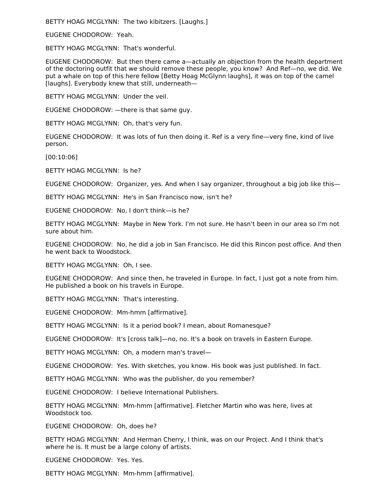BETTY HOAG MCGLYNN: The two kibitzers. [Laughs.]

EUGENE CHODOROW: Yeah.

BETTY HOAG MCGLYNN: That's wonderful.

EUGENE CHODOROW: But then there came a—actually an objection from the health department of the doctoring outfit that we should remove these people, you know? And Ref—no, we did. We put a whale on top of this here fellow [Betty Hoag McGlynn laughs], it was on top of the camel [laughs]. Everybody knew that still, underneath—

BETTY HOAG MCGLYNN: Under the veil.

EUGENE CHODOROW: —there is that same guy.

BETTY HOAG MCGLYNN: Oh, that's very fun.

EUGENE CHODOROW: It was lots of fun then doing it. Ref is a very fine—very fine, kind of live person.

[00:10:06]

BETTY HOAG MCGLYNN: Is he?

EUGENE CHODOROW: Organizer, yes. And when I say organizer, throughout a big job like this—

BETTY HOAG MCGLYNN: He's in San Francisco now, isn't he?

EUGENE CHODOROW: No, I don't think—is he?

BETTY HOAG MCGLYNN: Maybe in New York. I'm not sure. He hasn't been in our area so I'm not sure about him.

EUGENE CHODOROW: No, he did a job in San Francisco. He did this Rincon post office. And then he went back to Woodstock.

BETTY HOAG MCGLYNN: Oh, I see.

EUGENE CHODOROW: And since then, he traveled in Europe. In fact, I just got a note from him. He published a book on his travels in Europe.

BETTY HOAG MCGLYNN: That's interesting.

EUGENE CHODOROW: Mm-hmm [affirmative].

BETTY HOAG MCGLYNN: Is it a period book? I mean, about Romanesque?

EUGENE CHODOROW: It's [cross talk]—no, no. It's a book on travels in Eastern Europe.

BETTY HOAG MCGLYNN: Oh, a modern man's travel—

EUGENE CHODOROW: Yes. With sketches, you know. His book was just published. In fact.

BETTY HOAG MCGLYNN: Who was the publisher, do you remember?

EUGENE CHODOROW: I believe International Publishers.

BETTY HOAG MCGLYNN: Mm-hmm [affirmative]. Fletcher Martin who was here, lives at Woodstock too.

EUGENE CHODOROW: Oh, does he?

BETTY HOAG MCGLYNN: And Herman Cherry, I think, was on our Project. And I think that's where he is. It must be a large colony of artists.

EUGENE CHODOROW: Yes. Yes.

BETTY HOAG MCGLYNN: Mm-hmm [affirmative].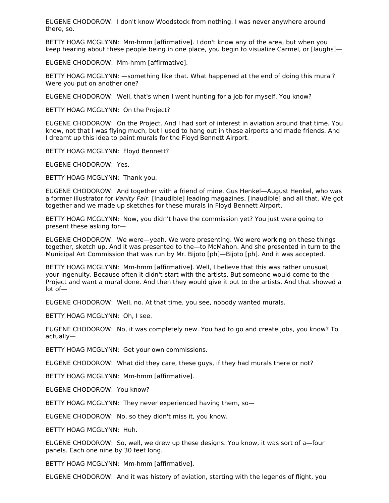EUGENE CHODOROW: I don't know Woodstock from nothing. I was never anywhere around there, so.

BETTY HOAG MCGLYNN: Mm-hmm [affirmative]. I don't know any of the area, but when you keep hearing about these people being in one place, you begin to visualize Carmel, or [laughs]—

EUGENE CHODOROW: Mm-hmm [affirmative].

BETTY HOAG MCGLYNN: —something like that. What happened at the end of doing this mural? Were you put on another one?

EUGENE CHODOROW: Well, that's when I went hunting for a job for myself. You know?

BETTY HOAG MCGLYNN: On the Project?

EUGENE CHODOROW: On the Project. And I had sort of interest in aviation around that time. You know, not that I was flying much, but I used to hang out in these airports and made friends. And I dreamt up this idea to paint murals for the Floyd Bennett Airport.

BETTY HOAG MCGLYNN: Floyd Bennett?

EUGENE CHODOROW: Yes.

BETTY HOAG MCGLYNN: Thank you.

EUGENE CHODOROW: And together with a friend of mine, Gus Henkel—August Henkel, who was a former illustrator for Vanity Fair. [Inaudible] leading magazines, [inaudible] and all that. We got together and we made up sketches for these murals in Floyd Bennett Airport.

BETTY HOAG MCGLYNN: Now, you didn't have the commission yet? You just were going to present these asking for—

EUGENE CHODOROW: We were—yeah. We were presenting. We were working on these things together, sketch up. And it was presented to the—to McMahon. And she presented in turn to the Municipal Art Commission that was run by Mr. Bijoto [ph]—Bijoto [ph]. And it was accepted.

BETTY HOAG MCGLYNN: Mm-hmm [affirmative]. Well, I believe that this was rather unusual, your ingenuity. Because often it didn't start with the artists. But someone would come to the Project and want a mural done. And then they would give it out to the artists. And that showed a lot of—

EUGENE CHODOROW: Well, no. At that time, you see, nobody wanted murals.

BETTY HOAG MCGLYNN: Oh, I see.

EUGENE CHODOROW: No, it was completely new. You had to go and create jobs, you know? To actually—

BETTY HOAG MCGLYNN: Get your own commissions.

EUGENE CHODOROW: What did they care, these guys, if they had murals there or not?

BETTY HOAG MCGLYNN: Mm-hmm [affirmative].

EUGENE CHODOROW: You know?

BETTY HOAG MCGLYNN: They never experienced having them, so—

EUGENE CHODOROW: No, so they didn't miss it, you know.

BETTY HOAG MCGLYNN: Huh.

EUGENE CHODOROW: So, well, we drew up these designs. You know, it was sort of a—four panels. Each one nine by 30 feet long.

BETTY HOAG MCGLYNN: Mm-hmm [affirmative].

EUGENE CHODOROW: And it was history of aviation, starting with the legends of flight, you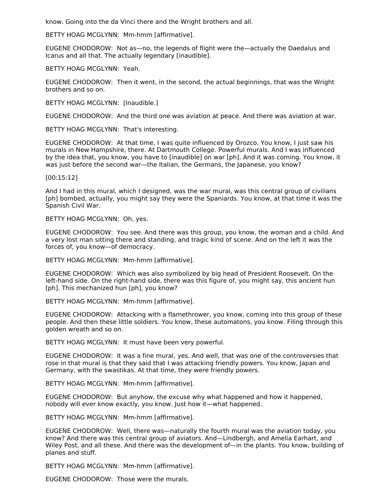know. Going into the da Vinci there and the Wright brothers and all.

BETTY HOAG MCGLYNN: Mm-hmm [affirmative].

EUGENE CHODOROW: Not as—no, the legends of flight were the—actually the Daedalus and Icarus and all that. The actually legendary [inaudible].

BETTY HOAG MCGLYNN: Yeah.

EUGENE CHODOROW: Then it went, in the second, the actual beginnings, that was the Wright brothers and so on.

BETTY HOAG MCGLYNN: [Inaudible.]

EUGENE CHODOROW: And the third one was aviation at peace. And there was aviation at war.

BETTY HOAG MCGLYNN: That's interesting.

EUGENE CHODOROW: At that time, I was quite influenced by Orozco. You know, I just saw his murals in New Hampshire, there. At Dartmouth College. Powerful murals. And I was influenced by the idea that, you know, you have to [inaudible] on war [ph]. And it was coming. You know, it was just before the second war—the Italian, the Germans, the Japanese, you know?

[00:15:12]

And I had in this mural, which I designed, was the war mural, was this central group of civilians [ph] bombed, actually, you might say they were the Spaniards. You know, at that time it was the Spanish Civil War.

BETTY HOAG MCGLYNN: Oh, yes.

EUGENE CHODOROW: You see. And there was this group, you know, the woman and a child. And a very lost man sitting there and standing, and tragic kind of scene. And on the left it was the forces of, you know—of democracy.

BETTY HOAG MCGLYNN: Mm-hmm [affirmative].

EUGENE CHODOROW: Which was also symbolized by big head of President Roosevelt. On the left-hand side. On the right-hand side, there was this figure of, you might say, this ancient hun [ph]. This mechanized hun [ph], you know?

BETTY HOAG MCGLYNN: Mm-hmm [affirmative].

EUGENE CHODOROW: Attacking with a flamethrower, you know, coming into this group of these people. And then these little soldiers. You know, these automatons, you know. Filing through this golden wreath and so on.

BETTY HOAG MCGLYNN: It must have been very powerful.

EUGENE CHODOROW: It was a fine mural, yes. And well, that was one of the controversies that rose in that mural is that they said that I was attacking friendly powers. You know, Japan and Germany, with the swastikas. At that time, they were friendly powers.

BETTY HOAG MCGLYNN: Mm-hmm [affirmative].

EUGENE CHODOROW: But anyhow, the excuse why what happened and how it happened, nobody will ever know exactly, you know. Just how it—what happened.

BETTY HOAG MCGLYNN: Mm-hmm [affirmative].

EUGENE CHODOROW: Well, there was—naturally the fourth mural was the aviation today, you know? And there was this central group of aviators. And—Lindbergh, and Amelia Earhart, and Wiley Post, and all these. And there was the development of—in the plants. You know, building of planes and stuff.

BETTY HOAG MCGLYNN: Mm-hmm [affirmative].

EUGENE CHODOROW: Those were the murals.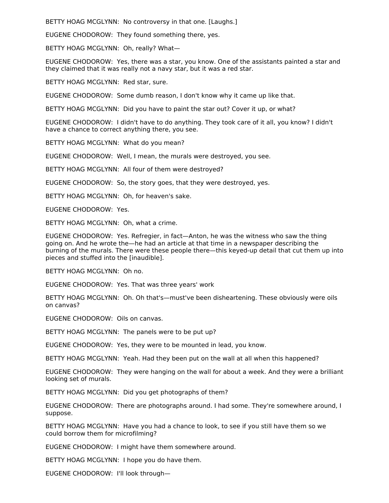BETTY HOAG MCGLYNN: No controversy in that one. [Laughs.]

EUGENE CHODOROW: They found something there, yes.

BETTY HOAG MCGLYNN: Oh, really? What—

EUGENE CHODOROW: Yes, there was a star, you know. One of the assistants painted a star and they claimed that it was really not a navy star, but it was a red star.

BETTY HOAG MCGLYNN: Red star, sure.

EUGENE CHODOROW: Some dumb reason, I don't know why it came up like that.

BETTY HOAG MCGLYNN: Did you have to paint the star out? Cover it up, or what?

EUGENE CHODOROW: I didn't have to do anything. They took care of it all, you know? I didn't have a chance to correct anything there, you see.

BETTY HOAG MCGLYNN: What do you mean?

EUGENE CHODOROW: Well, I mean, the murals were destroyed, you see.

BETTY HOAG MCGLYNN: All four of them were destroyed?

EUGENE CHODOROW: So, the story goes, that they were destroyed, yes.

BETTY HOAG MCGLYNN: Oh, for heaven's sake.

EUGENE CHODOROW: Yes.

BETTY HOAG MCGLYNN: Oh, what a crime.

EUGENE CHODOROW: Yes. Refregier, in fact—Anton, he was the witness who saw the thing going on. And he wrote the—he had an article at that time in a newspaper describing the burning of the murals. There were these people there—this keyed-up detail that cut them up into pieces and stuffed into the [inaudible].

BETTY HOAG MCGLYNN: Oh no.

EUGENE CHODOROW: Yes. That was three years' work

BETTY HOAG MCGLYNN: Oh. Oh that's—must've been disheartening. These obviously were oils on canvas?

EUGENE CHODOROW: Oils on canvas.

BETTY HOAG MCGLYNN: The panels were to be put up?

EUGENE CHODOROW: Yes, they were to be mounted in lead, you know.

BETTY HOAG MCGLYNN: Yeah. Had they been put on the wall at all when this happened?

EUGENE CHODOROW: They were hanging on the wall for about a week. And they were a brilliant looking set of murals.

BETTY HOAG MCGLYNN: Did you get photographs of them?

EUGENE CHODOROW: There are photographs around. I had some. They're somewhere around, I suppose.

BETTY HOAG MCGLYNN: Have you had a chance to look, to see if you still have them so we could borrow them for microfilming?

EUGENE CHODOROW: I might have them somewhere around.

BETTY HOAG MCGLYNN: I hope you do have them.

EUGENE CHODOROW: I'll look through—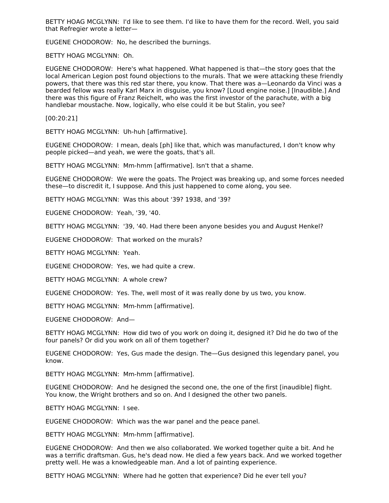BETTY HOAG MCGLYNN: I'd like to see them. I'd like to have them for the record. Well, you said that Refregier wrote a letter—

EUGENE CHODOROW: No, he described the burnings.

BETTY HOAG MCGLYNN: Oh.

EUGENE CHODOROW: Here's what happened. What happened is that—the story goes that the local American Legion post found objections to the murals. That we were attacking these friendly powers, that there was this red star there, you know. That there was a—Leonardo da Vinci was a bearded fellow was really Karl Marx in disguise, you know? [Loud engine noise.] [Inaudible.] And there was this figure of Franz Reichelt, who was the first investor of the parachute, with a big handlebar moustache. Now, logically, who else could it be but Stalin, you see?

[00:20:21]

BETTY HOAG MCGLYNN: Uh-huh [affirmative].

EUGENE CHODOROW: I mean, deals [ph] like that, which was manufactured, I don't know why people picked—and yeah, we were the goats, that's all.

BETTY HOAG MCGLYNN: Mm-hmm [affirmative]. Isn't that a shame.

EUGENE CHODOROW: We were the goats. The Project was breaking up, and some forces needed these—to discredit it, I suppose. And this just happened to come along, you see.

BETTY HOAG MCGLYNN: Was this about '39? 1938, and '39?

EUGENE CHODOROW: Yeah, '39, '40.

BETTY HOAG MCGLYNN: '39, '40. Had there been anyone besides you and August Henkel?

EUGENE CHODOROW: That worked on the murals?

BETTY HOAG MCGLYNN: Yeah.

EUGENE CHODOROW: Yes, we had quite a crew.

BETTY HOAG MCGLYNN: A whole crew?

EUGENE CHODOROW: Yes. The, well most of it was really done by us two, you know.

BETTY HOAG MCGLYNN: Mm-hmm [affirmative].

EUGENE CHODOROW: And—

BETTY HOAG MCGLYNN: How did two of you work on doing it, designed it? Did he do two of the four panels? Or did you work on all of them together?

EUGENE CHODOROW: Yes, Gus made the design. The—Gus designed this legendary panel, you know.

BETTY HOAG MCGLYNN: Mm-hmm [affirmative].

EUGENE CHODOROW: And he designed the second one, the one of the first [inaudible] flight. You know, the Wright brothers and so on. And I designed the other two panels.

BETTY HOAG MCGLYNN: I see.

EUGENE CHODOROW: Which was the war panel and the peace panel.

BETTY HOAG MCGLYNN: Mm-hmm [affirmative].

EUGENE CHODOROW: And then we also collaborated. We worked together quite a bit. And he was a terrific draftsman. Gus, he's dead now. He died a few years back. And we worked together pretty well. He was a knowledgeable man. And a lot of painting experience.

BETTY HOAG MCGLYNN: Where had he gotten that experience? Did he ever tell you?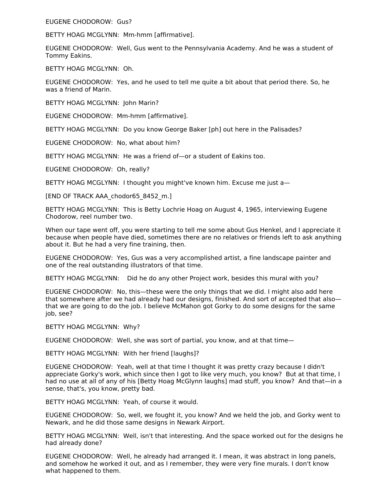EUGENE CHODOROW: Gus?

BETTY HOAG MCGLYNN: Mm-hmm [affirmative].

EUGENE CHODOROW: Well, Gus went to the Pennsylvania Academy. And he was a student of Tommy Eakins.

BETTY HOAG MCGLYNN: Oh.

EUGENE CHODOROW: Yes, and he used to tell me quite a bit about that period there. So, he was a friend of Marin.

BETTY HOAG MCGLYNN: John Marin?

EUGENE CHODOROW: Mm-hmm [affirmative].

BETTY HOAG MCGLYNN: Do you know George Baker [ph] out here in the Palisades?

EUGENE CHODOROW: No, what about him?

BETTY HOAG MCGLYNN: He was a friend of—or a student of Eakins too.

EUGENE CHODOROW: Oh, really?

BETTY HOAG MCGLYNN: I thought you might've known him. Excuse me just a—

[END OF TRACK AAA\_chodor65\_8452\_m.]

BETTY HOAG MCGLYNN: This is Betty Lochrie Hoag on August 4, 1965, interviewing Eugene Chodorow, reel number two.

When our tape went off, you were starting to tell me some about Gus Henkel, and I appreciate it because when people have died, sometimes there are no relatives or friends left to ask anything about it. But he had a very fine training, then.

EUGENE CHODOROW: Yes, Gus was a very accomplished artist, a fine landscape painter and one of the real outstanding illustrators of that time.

BETTY HOAG MCGLYNN: Did he do any other Project work, besides this mural with you?

EUGENE CHODOROW: No, this—these were the only things that we did. I might also add here that somewhere after we had already had our designs, finished. And sort of accepted that also that we are going to do the job. I believe McMahon got Gorky to do some designs for the same job, see?

BETTY HOAG MCGLYNN: Why?

EUGENE CHODOROW: Well, she was sort of partial, you know, and at that time—

BETTY HOAG MCGLYNN: With her friend [laughs]?

EUGENE CHODOROW: Yeah, well at that time I thought it was pretty crazy because I didn't appreciate Gorky's work, which since then I got to like very much, you know? But at that time, I had no use at all of any of his [Betty Hoag McGlynn laughs] mad stuff, you know? And that—in a sense, that's, you know, pretty bad.

BETTY HOAG MCGLYNN: Yeah, of course it would.

EUGENE CHODOROW: So, well, we fought it, you know? And we held the job, and Gorky went to Newark, and he did those same designs in Newark Airport.

BETTY HOAG MCGLYNN: Well, isn't that interesting. And the space worked out for the designs he had already done?

EUGENE CHODOROW: Well, he already had arranged it. I mean, it was abstract in long panels, and somehow he worked it out, and as I remember, they were very fine murals. I don't know what happened to them.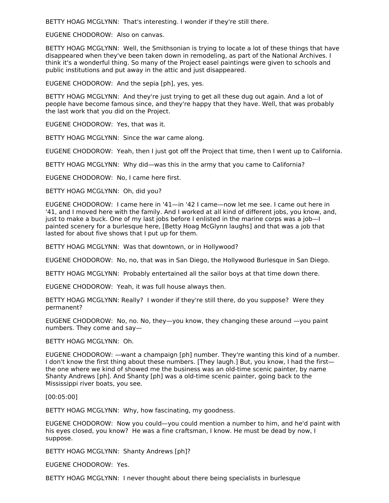BETTY HOAG MCGLYNN: That's interesting. I wonder if they're still there.

EUGENE CHODOROW: Also on canvas.

BETTY HOAG MCGLYNN: Well, the Smithsonian is trying to locate a lot of these things that have disappeared when they've been taken down in remodeling, as part of the National Archives. I think it's a wonderful thing. So many of the Project easel paintings were given to schools and public institutions and put away in the attic and just disappeared.

EUGENE CHODOROW: And the sepia [ph], yes, yes.

BETTY HOAG MCGLYNN: And they're just trying to get all these dug out again. And a lot of people have become famous since, and they're happy that they have. Well, that was probably the last work that you did on the Project.

EUGENE CHODOROW: Yes, that was it.

BETTY HOAG MCGLYNN: Since the war came along.

EUGENE CHODOROW: Yeah, then I just got off the Project that time, then I went up to California.

BETTY HOAG MCGLYNN: Why did—was this in the army that you came to California?

EUGENE CHODOROW: No, I came here first.

BETTY HOAG MCGLYNN: Oh, did you?

EUGENE CHODOROW: I came here in '41—in '42 I came—now let me see. I came out here in '41, and I moved here with the family. And I worked at all kind of different jobs, you know, and, just to make a buck. One of my last jobs before I enlisted in the marine corps was a job—I painted scenery for a burlesque here, [Betty Hoag McGlynn laughs] and that was a job that lasted for about five shows that I put up for them.

BETTY HOAG MCGLYNN: Was that downtown, or in Hollywood?

EUGENE CHODOROW: No, no, that was in San Diego, the Hollywood Burlesque in San Diego.

BETTY HOAG MCGLYNN: Probably entertained all the sailor boys at that time down there.

EUGENE CHODOROW: Yeah, it was full house always then.

BETTY HOAG MCGLYNN: Really? I wonder if they're still there, do you suppose? Were they permanent?

EUGENE CHODOROW: No, no. No, they—you know, they changing these around —you paint numbers. They come and say—

BETTY HOAG MCGLYNN: Oh.

EUGENE CHODOROW: —want a champaign [ph] number. They're wanting this kind of a number. I don't know the first thing about these numbers. [They laugh.] But, you know, I had the first the one where we kind of showed me the business was an old-time scenic painter, by name Shanty Andrews [ph]. And Shanty [ph] was a old-time scenic painter, going back to the Mississippi river boats, you see.

[00:05:00]

BETTY HOAG MCGLYNN: Why, how fascinating, my goodness.

EUGENE CHODOROW: Now you could—you could mention a number to him, and he'd paint with his eyes closed, you know? He was a fine craftsman, I know. He must be dead by now, I suppose.

BETTY HOAG MCGLYNN: Shanty Andrews [ph]?

EUGENE CHODOROW: Yes.

BETTY HOAG MCGLYNN: I never thought about there being specialists in burlesque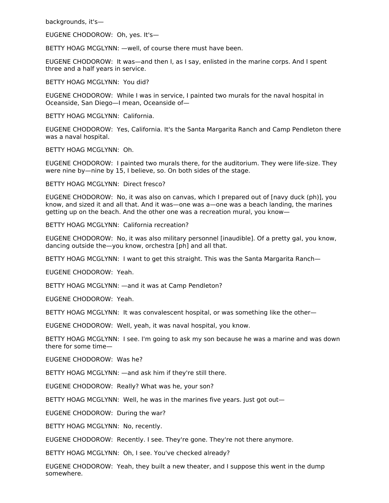backgrounds, it's—

EUGENE CHODOROW: Oh, yes. It's—

BETTY HOAG MCGLYNN: —well, of course there must have been.

EUGENE CHODOROW: It was—and then I, as I say, enlisted in the marine corps. And I spent three and a half years in service.

BETTY HOAG MCGLYNN: You did?

EUGENE CHODOROW: While I was in service, I painted two murals for the naval hospital in Oceanside, San Diego—I mean, Oceanside of—

BETTY HOAG MCGLYNN: California.

EUGENE CHODOROW: Yes, California. It's the Santa Margarita Ranch and Camp Pendleton there was a naval hospital.

BETTY HOAG MCGLYNN: Oh.

EUGENE CHODOROW: I painted two murals there, for the auditorium. They were life-size. They were nine by—nine by 15, I believe, so. On both sides of the stage.

BETTY HOAG MCGLYNN: Direct fresco?

EUGENE CHODOROW: No, it was also on canvas, which I prepared out of [navy duck (ph)], you know, and sized it and all that. And it was—one was a—one was a beach landing, the marines getting up on the beach. And the other one was a recreation mural, you know—

BETTY HOAG MCGLYNN: California recreation?

EUGENE CHODOROW: No, it was also military personnel [inaudible]. Of a pretty gal, you know, dancing outside the—you know, orchestra [ph] and all that.

BETTY HOAG MCGLYNN: I want to get this straight. This was the Santa Margarita Ranch—

EUGENE CHODOROW: Yeah.

BETTY HOAG MCGLYNN: —and it was at Camp Pendleton?

EUGENE CHODOROW: Yeah.

BETTY HOAG MCGLYNN: It was convalescent hospital, or was something like the other—

EUGENE CHODOROW: Well, yeah, it was naval hospital, you know.

BETTY HOAG MCGLYNN: I see. I'm going to ask my son because he was a marine and was down there for some time—

EUGENE CHODOROW: Was he?

BETTY HOAG MCGLYNN: —and ask him if they're still there.

EUGENE CHODOROW: Really? What was he, your son?

BETTY HOAG MCGLYNN: Well, he was in the marines five years. Just got out—

EUGENE CHODOROW: During the war?

BETTY HOAG MCGLYNN: No, recently.

EUGENE CHODOROW: Recently. I see. They're gone. They're not there anymore.

BETTY HOAG MCGLYNN: Oh, I see. You've checked already?

EUGENE CHODOROW: Yeah, they built a new theater, and I suppose this went in the dump somewhere.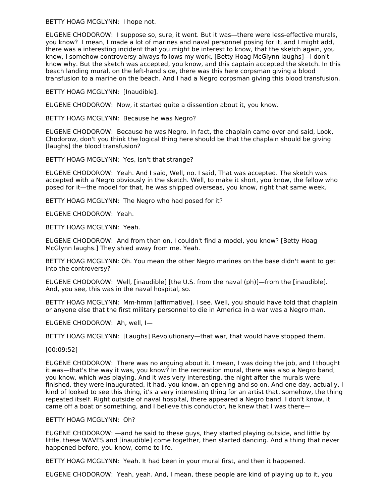BETTY HOAG MCGLYNN: I hope not.

EUGENE CHODOROW: I suppose so, sure, it went. But it was—there were less-effective murals, you know? I mean, I made a lot of marines and naval personnel posing for it, and I might add, there was a interesting incident that you might be interest to know, that the sketch again, you know, I somehow controversy always follows my work, [Betty Hoag McGlynn laughs]—I don't know why. But the sketch was accepted, you know, and this captain accepted the sketch. In this beach landing mural, on the left-hand side, there was this here corpsman giving a blood transfusion to a marine on the beach. And I had a Negro corpsman giving this blood transfusion.

BETTY HOAG MCGLYNN: [Inaudible].

EUGENE CHODOROW: Now, it started quite a dissention about it, you know.

BETTY HOAG MCGLYNN: Because he was Negro?

EUGENE CHODOROW: Because he was Negro. In fact, the chaplain came over and said, Look, Chodorow, don't you think the logical thing here should be that the chaplain should be giving [laughs] the blood transfusion?

BETTY HOAG MCGLYNN: Yes, isn't that strange?

EUGENE CHODOROW: Yeah. And I said, Well, no. I said, That was accepted. The sketch was accepted with a Negro obviously in the sketch. Well, to make it short, you know, the fellow who posed for it—the model for that, he was shipped overseas, you know, right that same week.

BETTY HOAG MCGLYNN: The Negro who had posed for it?

EUGENE CHODOROW: Yeah.

BETTY HOAG MCGLYNN: Yeah.

EUGENE CHODOROW: And from then on, I couldn't find a model, you know? [Betty Hoag McGlynn laughs.] They shied away from me. Yeah.

BETTY HOAG MCGLYNN: Oh. You mean the other Negro marines on the base didn't want to get into the controversy?

EUGENE CHODOROW: Well, [inaudible] [the U.S. from the naval (ph)]—from the [inaudible]. And, you see, this was in the naval hospital, so.

BETTY HOAG MCGLYNN: Mm-hmm [affirmative]. I see. Well, you should have told that chaplain or anyone else that the first military personnel to die in America in a war was a Negro man.

EUGENE CHODOROW: Ah, well, I—

BETTY HOAG MCGLYNN: [Laughs] Revolutionary—that war, that would have stopped them.

[00:09:52]

EUGENE CHODOROW: There was no arguing about it. I mean, I was doing the job, and I thought it was—that's the way it was, you know? In the recreation mural, there was also a Negro band, you know, which was playing. And it was very interesting, the night after the murals were finished, they were inaugurated, it had, you know, an opening and so on. And one day, actually, I kind of looked to see this thing, it's a very interesting thing for an artist that, somehow, the thing repeated itself. Right outside of naval hospital, there appeared a Negro band. I don't know, it came off a boat or something, and I believe this conductor, he knew that I was there—

### BETTY HOAG MCGLYNN: Oh?

EUGENE CHODOROW: —and he said to these guys, they started playing outside, and little by little, these WAVES and [inaudible] come together, then started dancing. And a thing that never happened before, you know, come to life.

BETTY HOAG MCGLYNN: Yeah. It had been in your mural first, and then it happened.

EUGENE CHODOROW: Yeah, yeah. And, I mean, these people are kind of playing up to it, you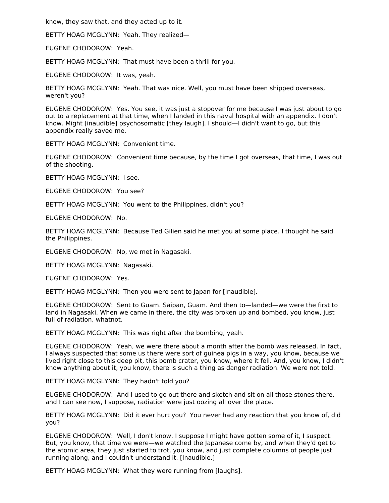know, they saw that, and they acted up to it.

BETTY HOAG MCGLYNN: Yeah. They realized—

EUGENE CHODOROW: Yeah.

BETTY HOAG MCGLYNN: That must have been a thrill for you.

EUGENE CHODOROW: It was, yeah.

BETTY HOAG MCGLYNN: Yeah. That was nice. Well, you must have been shipped overseas, weren't you?

EUGENE CHODOROW: Yes. You see, it was just a stopover for me because I was just about to go out to a replacement at that time, when I landed in this naval hospital with an appendix. I don't know. Might [inaudible] psychosomatic [they laugh]. I should—I didn't want to go, but this appendix really saved me.

BETTY HOAG MCGLYNN: Convenient time.

EUGENE CHODOROW: Convenient time because, by the time I got overseas, that time, I was out of the shooting.

BETTY HOAG MCGLYNN: I see.

EUGENE CHODOROW: You see?

BETTY HOAG MCGLYNN: You went to the Philippines, didn't you?

EUGENE CHODOROW: No.

BETTY HOAG MCGLYNN: Because Ted Gilien said he met you at some place. I thought he said the Philippines.

EUGENE CHODOROW: No, we met in Nagasaki.

BETTY HOAG MCGLYNN: Nagasaki.

EUGENE CHODOROW: Yes.

BETTY HOAG MCGLYNN: Then you were sent to Japan for [inaudible].

EUGENE CHODOROW: Sent to Guam. Saipan, Guam. And then to—landed—we were the first to land in Nagasaki. When we came in there, the city was broken up and bombed, you know, just full of radiation, whatnot.

BETTY HOAG MCGLYNN: This was right after the bombing, yeah.

EUGENE CHODOROW: Yeah, we were there about a month after the bomb was released. In fact, I always suspected that some us there were sort of guinea pigs in a way, you know, because we lived right close to this deep pit, this bomb crater, you know, where it fell. And, you know, I didn't know anything about it, you know, there is such a thing as danger radiation. We were not told.

BETTY HOAG MCGLYNN: They hadn't told you?

EUGENE CHODOROW: And I used to go out there and sketch and sit on all those stones there, and I can see now, I suppose, radiation were just oozing all over the place.

BETTY HOAG MCGLYNN: Did it ever hurt you? You never had any reaction that you know of, did you?

EUGENE CHODOROW: Well, I don't know. I suppose I might have gotten some of it, I suspect. But, you know, that time we were—we watched the Japanese come by, and when they'd get to the atomic area, they just started to trot, you know, and just complete columns of people just running along, and I couldn't understand it. [Inaudible.]

BETTY HOAG MCGLYNN: What they were running from [laughs].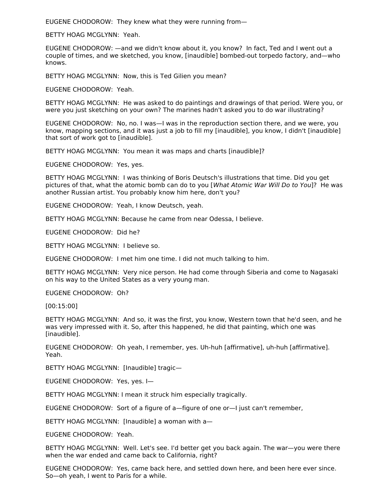EUGENE CHODOROW: They knew what they were running from—

BETTY HOAG MCGLYNN: Yeah.

EUGENE CHODOROW: —and we didn't know about it, you know? In fact, Ted and I went out a couple of times, and we sketched, you know, [inaudible] bombed-out torpedo factory, and—who knows.

BETTY HOAG MCGLYNN: Now, this is Ted Gilien you mean?

EUGENE CHODOROW: Yeah.

BETTY HOAG MCGLYNN: He was asked to do paintings and drawings of that period. Were you, or were you just sketching on your own? The marines hadn't asked you to do war illustrating?

EUGENE CHODOROW: No, no. I was—I was in the reproduction section there, and we were, you know, mapping sections, and it was just a job to fill my [inaudible], you know, I didn't [inaudible] that sort of work got to [inaudible].

BETTY HOAG MCGLYNN: You mean it was maps and charts [inaudible]?

EUGENE CHODOROW: Yes, yes.

BETTY HOAG MCGLYNN: I was thinking of Boris Deutsch's illustrations that time. Did you get pictures of that, what the atomic bomb can do to you [What Atomic War Will Do to You]? He was another Russian artist. You probably know him here, don't you?

EUGENE CHODOROW: Yeah, I know Deutsch, yeah.

BETTY HOAG MCGLYNN: Because he came from near Odessa, I believe.

EUGENE CHODOROW: Did he?

BETTY HOAG MCGLYNN: I believe so.

EUGENE CHODOROW: I met him one time. I did not much talking to him.

BETTY HOAG MCGLYNN: Very nice person. He had come through Siberia and come to Nagasaki on his way to the United States as a very young man.

EUGENE CHODOROW: Oh?

[00:15:00]

BETTY HOAG MCGLYNN: And so, it was the first, you know, Western town that he'd seen, and he was very impressed with it. So, after this happened, he did that painting, which one was [inaudible].

EUGENE CHODOROW: Oh yeah, I remember, yes. Uh-huh [affirmative], uh-huh [affirmative]. Yeah.

BETTY HOAG MCGLYNN: [Inaudible] tragic—

EUGENE CHODOROW: Yes, yes. I—

BETTY HOAG MCGLYNN: I mean it struck him especially tragically.

EUGENE CHODOROW: Sort of a figure of a—figure of one or—I just can't remember,

BETTY HOAG MCGLYNN: [Inaudible] a woman with a—

EUGENE CHODOROW: Yeah.

BETTY HOAG MCGLYNN: Well. Let's see. I'd better get you back again. The war—you were there when the war ended and came back to California, right?

EUGENE CHODOROW: Yes, came back here, and settled down here, and been here ever since. So—oh yeah, I went to Paris for a while.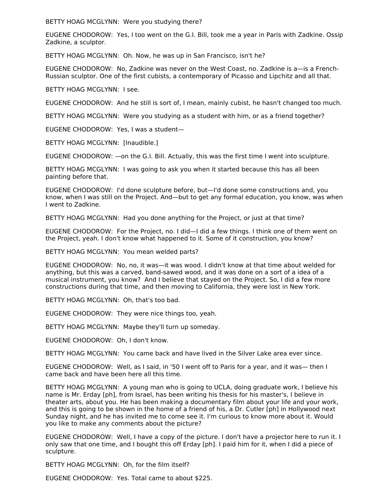BETTY HOAG MCGLYNN: Were you studying there?

EUGENE CHODOROW: Yes, I too went on the G.I. Bill, took me a year in Paris with Zadkine. Ossip Zadkine, a sculptor.

BETTY HOAG MCGLYNN: Oh. Now, he was up in San Francisco, isn't he?

EUGENE CHODOROW: No, Zadkine was never on the West Coast, no. Zadkine is a—is a French-Russian sculptor. One of the first cubists, a contemporary of Picasso and Lipchitz and all that.

BETTY HOAG MCGLYNN: I see.

EUGENE CHODOROW: And he still is sort of, I mean, mainly cubist, he hasn't changed too much.

BETTY HOAG MCGLYNN: Were you studying as a student with him, or as a friend together?

EUGENE CHODOROW: Yes, I was a student—

BETTY HOAG MCGLYNN: [Inaudible.]

EUGENE CHODOROW: —on the G.I. Bill. Actually, this was the first time I went into sculpture.

BETTY HOAG MCGLYNN: I was going to ask you when it started because this has all been painting before that.

EUGENE CHODOROW: I'd done sculpture before, but—I'd done some constructions and, you know, when I was still on the Project. And—but to get any formal education, you know, was when I went to Zadkine.

BETTY HOAG MCGLYNN: Had you done anything for the Project, or just at that time?

EUGENE CHODOROW: For the Project, no. I did—I did a few things. I think one of them went on the Project, yeah. I don't know what happened to it. Some of it construction, you know?

BETTY HOAG MCGLYNN: You mean welded parts?

EUGENE CHODOROW: No, no, it was—it was wood. I didn't know at that time about welded for anything, but this was a carved, band-sawed wood, and it was done on a sort of a idea of a musical instrument, you know? And I believe that stayed on the Project. So, I did a few more constructions during that time, and then moving to California, they were lost in New York.

BETTY HOAG MCGLYNN: Oh, that's too bad.

EUGENE CHODOROW: They were nice things too, yeah.

BETTY HOAG MCGLYNN: Maybe they'll turn up someday.

EUGENE CHODOROW: Oh, I don't know.

BETTY HOAG MCGLYNN: You came back and have lived in the Silver Lake area ever since.

EUGENE CHODOROW: Well, as I said, in '50 I went off to Paris for a year, and it was— then I came back and have been here all this time.

BETTY HOAG MCGLYNN: A young man who is going to UCLA, doing graduate work, I believe his name is Mr. Erday [ph], from Israel, has been writing his thesis for his master's, I believe in theater arts, about you. He has been making a documentary film about your life and your work, and this is going to be shown in the home of a friend of his, a Dr. Cutler [ph] in Hollywood next Sunday night, and he has invited me to come see it. I'm curious to know more about it. Would you like to make any comments about the picture?

EUGENE CHODOROW: Well, I have a copy of the picture. I don't have a projector here to run it. I only saw that one time, and I bought this off Erday [ph]. I paid him for it, when I did a piece of sculpture.

BETTY HOAG MCGLYNN: Oh, for the film itself?

EUGENE CHODOROW: Yes. Total came to about \$225.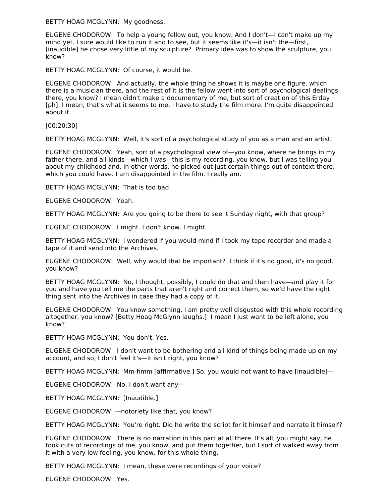BETTY HOAG MCGLYNN: My goodness.

EUGENE CHODOROW: To help a young fellow out, you know. And I don't—I can't make up my mind yet. I sure would like to run it and to see, but it seems like it's—it isn't the—first, [inaudible] he chose very little of my sculpture? Primary idea was to show the sculpture, you know?

BETTY HOAG MCGLYNN: Of course, it would be.

EUGENE CHODOROW: And actually, the whole thing he shows it is maybe one figure, which there is a musician there, and the rest of it is the fellow went into sort of psychological dealings there, you know? I mean didn't make a documentary of me, but sort of creation of this Erday [ph]. I mean, that's what it seems to me. I have to study the film more. I'm quite disappointed about it.

[00:20:30]

BETTY HOAG MCGLYNN: Well, it's sort of a psychological study of you as a man and an artist.

EUGENE CHODOROW: Yeah, sort of a psychological view of—you know, where he brings in my father there, and all kinds—which I was—this is my recording, you know, but I was telling you about my childhood and, in other words, he picked out just certain things out of context there, which you could have. I am disappointed in the film. I really am.

BETTY HOAG MCGLYNN: That is too bad.

EUGENE CHODOROW: Yeah.

BETTY HOAG MCGLYNN: Are you going to be there to see it Sunday night, with that group?

EUGENE CHODOROW: I might. I don't know. I might.

BETTY HOAG MCGLYNN: I wondered if you would mind if I took my tape recorder and made a tape of it and send into the Archives.

EUGENE CHODOROW: Well, why would that be important? I think if it's no good, it's no good, you know?

BETTY HOAG MCGLYNN: No, I thought, possibly, I could do that and then have—and play it for you and have you tell me the parts that aren't right and correct them, so we'd have the right thing sent into the Archives in case they had a copy of it.

EUGENE CHODOROW: You know something, I am pretty well disgusted with this whole recording altogether, you know? [Betty Hoag McGlynn laughs.] I mean I just want to be left alone, you know?

BETTY HOAG MCGLYNN: You don't. Yes.

EUGENE CHODOROW: I don't want to be bothering and all kind of things being made up on my account, and so, I don't feel it's—it isn't right, you know?

BETTY HOAG MCGLYNN: Mm-hmm [affirmative.] So, you would not want to have [inaudible]—

EUGENE CHODOROW: No, I don't want any—

BETTY HOAG MCGLYNN: [Inaudible.]

EUGENE CHODOROW: —notoriety like that, you know?

BETTY HOAG MCGLYNN: You're right. Did he write the script for it himself and narrate it himself?

EUGENE CHODOROW: There is no narration in this part at all there. It's all, you might say, he took cuts of recordings of me, you know, and put them together, but I sort of walked away from it with a very low feeling, you know, for this whole thing.

BETTY HOAG MCGLYNN: I mean, these were recordings of your voice?

EUGENE CHODOROW: Yes.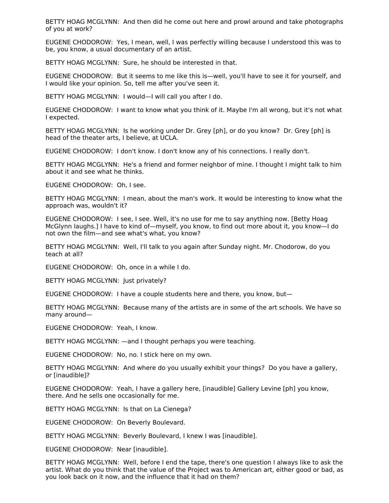BETTY HOAG MCGLYNN: And then did he come out here and prowl around and take photographs of you at work?

EUGENE CHODOROW: Yes, I mean, well, I was perfectly willing because I understood this was to be, you know, a usual documentary of an artist.

BETTY HOAG MCGLYNN: Sure, he should be interested in that.

EUGENE CHODOROW: But it seems to me like this is—well, you'll have to see it for yourself, and I would like your opinion. So, tell me after you've seen it.

BETTY HOAG MCGLYNN: I would—I will call you after I do.

EUGENE CHODOROW: I want to know what you think of it. Maybe I'm all wrong, but it's not what I expected.

BETTY HOAG MCGLYNN: Is he working under Dr. Grey [ph], or do you know? Dr. Grey [ph] is head of the theater arts, I believe, at UCLA.

EUGENE CHODOROW: I don't know. I don't know any of his connections. I really don't.

BETTY HOAG MCGLYNN: He's a friend and former neighbor of mine. I thought I might talk to him about it and see what he thinks.

EUGENE CHODOROW: Oh, I see.

BETTY HOAG MCGLYNN: I mean, about the man's work. It would be interesting to know what the approach was, wouldn't it?

EUGENE CHODOROW: I see, I see. Well, it's no use for me to say anything now. [Betty Hoag McGlynn laughs.] I have to kind of—myself, you know, to find out more about it, you know—I do not own the film—and see what's what, you know?

BETTY HOAG MCGLYNN: Well, I'll talk to you again after Sunday night. Mr. Chodorow, do you teach at all?

EUGENE CHODOROW: Oh, once in a while I do.

BETTY HOAG MCGLYNN: Just privately?

EUGENE CHODOROW: I have a couple students here and there, you know, but—

BETTY HOAG MCGLYNN: Because many of the artists are in some of the art schools. We have so many around—

EUGENE CHODOROW: Yeah, I know.

BETTY HOAG MCGLYNN: —and I thought perhaps you were teaching.

EUGENE CHODOROW: No, no. I stick here on my own.

BETTY HOAG MCGLYNN: And where do you usually exhibit your things? Do you have a gallery, or [inaudible]?

EUGENE CHODOROW: Yeah, I have a gallery here, [inaudible] Gallery Levine [ph] you know, there. And he sells one occasionally for me.

BETTY HOAG MCGLYNN: Is that on La Cienega?

EUGENE CHODOROW: On Beverly Boulevard.

BETTY HOAG MCGLYNN: Beverly Boulevard, I knew I was [inaudible].

EUGENE CHODOROW: Near [inaudible].

BETTY HOAG MCGLYNN: Well, before I end the tape, there's one question I always like to ask the artist. What do you think that the value of the Project was to American art, either good or bad, as you look back on it now, and the influence that it had on them?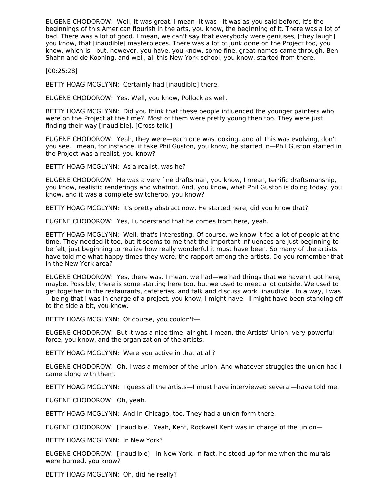EUGENE CHODOROW: Well, it was great. I mean, it was—it was as you said before, it's the beginnings of this American flourish in the arts, you know, the beginning of it. There was a lot of bad. There was a lot of good. I mean, we can't say that everybody were geniuses, [they laugh] you know, that [inaudible] masterpieces. There was a lot of junk done on the Project too, you know, which is—but, however, you have, you know, some fine, great names came through, Ben Shahn and de Kooning, and well, all this New York school, you know, started from there.

[00:25:28]

BETTY HOAG MCGLYNN: Certainly had [inaudible] there.

EUGENE CHODOROW: Yes. Well, you know, Pollock as well.

BETTY HOAG MCGLYNN: Did you think that these people influenced the younger painters who were on the Project at the time? Most of them were pretty young then too. They were just finding their way [inaudible]. [Cross talk.]

EUGENE CHODOROW: Yeah, they were—each one was looking, and all this was evolving, don't you see. I mean, for instance, if take Phil Guston, you know, he started in—Phil Guston started in the Project was a realist, you know?

BETTY HOAG MCGLYNN: As a realist, was he?

EUGENE CHODOROW: He was a very fine draftsman, you know, I mean, terrific draftsmanship, you know, realistic renderings and whatnot. And, you know, what Phil Guston is doing today, you know, and it was a complete switcheroo, you know?

BETTY HOAG MCGLYNN: It's pretty abstract now. He started here, did you know that?

EUGENE CHODOROW: Yes, I understand that he comes from here, yeah.

BETTY HOAG MCGLYNN: Well, that's interesting. Of course, we know it fed a lot of people at the time. They needed it too, but it seems to me that the important influences are just beginning to be felt, just beginning to realize how really wonderful it must have been. So many of the artists have told me what happy times they were, the rapport among the artists. Do you remember that in the New York area?

EUGENE CHODOROW: Yes, there was. I mean, we had—we had things that we haven't got here, maybe. Possibly, there is some starting here too, but we used to meet a lot outside. We used to get together in the restaurants, cafeterias, and talk and discuss work [inaudible]. In a way, I was —being that I was in charge of a project, you know, I might have—I might have been standing off to the side a bit, you know.

BETTY HOAG MCGLYNN: Of course, you couldn't—

EUGENE CHODOROW: But it was a nice time, alright. I mean, the Artists' Union, very powerful force, you know, and the organization of the artists.

BETTY HOAG MCGLYNN: Were you active in that at all?

EUGENE CHODOROW: Oh, I was a member of the union. And whatever struggles the union had I came along with them.

BETTY HOAG MCGLYNN: I guess all the artists—I must have interviewed several—have told me.

EUGENE CHODOROW: Oh, yeah.

BETTY HOAG MCGLYNN: And in Chicago, too. They had a union form there.

EUGENE CHODOROW: [Inaudible.] Yeah, Kent, Rockwell Kent was in charge of the union—

BETTY HOAG MCGLYNN: In New York?

EUGENE CHODOROW: [Inaudible]—in New York. In fact, he stood up for me when the murals were burned, you know?

BETTY HOAG MCGLYNN: Oh, did he really?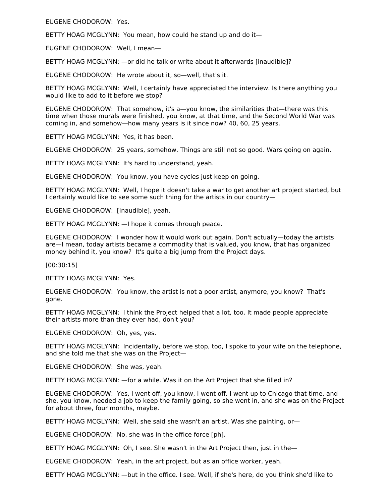EUGENE CHODOROW: Yes.

BETTY HOAG MCGLYNN: You mean, how could he stand up and do it—

EUGENE CHODOROW: Well, I mean—

BETTY HOAG MCGLYNN: —or did he talk or write about it afterwards [inaudible]?

EUGENE CHODOROW: He wrote about it, so—well, that's it.

BETTY HOAG MCGLYNN: Well, I certainly have appreciated the interview. Is there anything you would like to add to it before we stop?

EUGENE CHODOROW: That somehow, it's a—you know, the similarities that—there was this time when those murals were finished, you know, at that time, and the Second World War was coming in, and somehow—how many years is it since now? 40, 60, 25 years.

BETTY HOAG MCGLYNN: Yes, it has been.

EUGENE CHODOROW: 25 years, somehow. Things are still not so good. Wars going on again.

BETTY HOAG MCGLYNN: It's hard to understand, yeah.

EUGENE CHODOROW: You know, you have cycles just keep on going.

BETTY HOAG MCGLYNN: Well, I hope it doesn't take a war to get another art project started, but I certainly would like to see some such thing for the artists in our country—

EUGENE CHODOROW: [Inaudible], yeah.

BETTY HOAG MCGLYNN: —I hope it comes through peace.

EUGENE CHODOROW: I wonder how it would work out again. Don't actually—today the artists are—I mean, today artists became a commodity that is valued, you know, that has organized money behind it, you know? It's quite a big jump from the Project days.

[00:30:15]

BETTY HOAG MCGLYNN: Yes.

EUGENE CHODOROW: You know, the artist is not a poor artist, anymore, you know? That's gone.

BETTY HOAG MCGLYNN: I think the Project helped that a lot, too. It made people appreciate their artists more than they ever had, don't you?

EUGENE CHODOROW: Oh, yes, yes.

BETTY HOAG MCGLYNN: Incidentally, before we stop, too, I spoke to your wife on the telephone, and she told me that she was on the Project—

EUGENE CHODOROW: She was, yeah.

BETTY HOAG MCGLYNN: —for a while. Was it on the Art Project that she filled in?

EUGENE CHODOROW: Yes, I went off, you know, I went off. I went up to Chicago that time, and she, you know, needed a job to keep the family going, so she went in, and she was on the Project for about three, four months, maybe.

BETTY HOAG MCGLYNN: Well, she said she wasn't an artist. Was she painting, or—

EUGENE CHODOROW: No, she was in the office force [ph].

BETTY HOAG MCGLYNN: Oh, I see. She wasn't in the Art Project then, just in the-

EUGENE CHODOROW: Yeah, in the art project, but as an office worker, yeah.

BETTY HOAG MCGLYNN: —but in the office. I see. Well, if she's here, do you think she'd like to